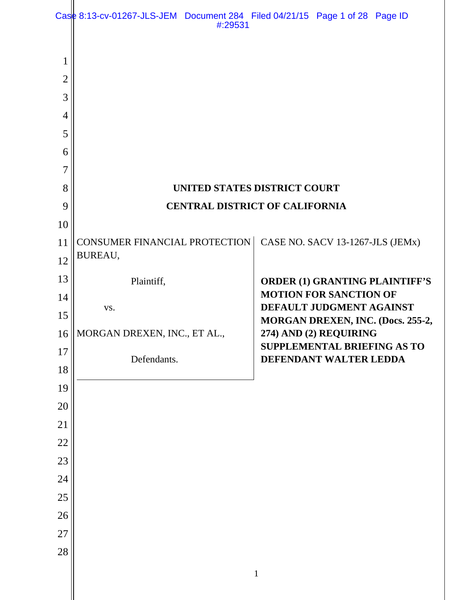|                | Case 8:13-cv-01267-JLS-JEM Document 284 Filed 04/21/15 Page 1 of 28 Page ID<br>#:29531 |                                                                        |
|----------------|----------------------------------------------------------------------------------------|------------------------------------------------------------------------|
| 1              |                                                                                        |                                                                        |
| $\overline{2}$ |                                                                                        |                                                                        |
| 3              |                                                                                        |                                                                        |
| $\overline{4}$ |                                                                                        |                                                                        |
| 5              |                                                                                        |                                                                        |
| 6              |                                                                                        |                                                                        |
| 7              |                                                                                        |                                                                        |
| 8              | UNITED STATES DISTRICT COURT                                                           |                                                                        |
| 9              | <b>CENTRAL DISTRICT OF CALIFORNIA</b>                                                  |                                                                        |
| 10             |                                                                                        |                                                                        |
| 11             | <b>CONSUMER FINANCIAL PROTECTION</b><br>BUREAU,                                        | CASE NO. SACV 13-1267-JLS (JEMx)                                       |
| 12             |                                                                                        |                                                                        |
| 13<br>14       | Plaintiff,                                                                             | <b>ORDER (1) GRANTING PLAINTIFF'S</b><br><b>MOTION FOR SANCTION OF</b> |
| 15             | VS.                                                                                    | DEFAULT JUDGMENT AGAINST                                               |
| 16             | MORGAN DREXEN, INC., ET AL.,                                                           | MORGAN DREXEN, INC. (Docs. 255-2,<br>274) AND (2) REQUIRING            |
| 17             |                                                                                        | SUPPLEMENTAL BRIEFING AS TO                                            |
| 18             | Defendants.                                                                            | DEFENDANT WALTER LEDDA                                                 |
| 19             |                                                                                        |                                                                        |
| 20             |                                                                                        |                                                                        |
| 21             |                                                                                        |                                                                        |
| 22             |                                                                                        |                                                                        |
| 23             |                                                                                        |                                                                        |
| 24             |                                                                                        |                                                                        |
| 25             |                                                                                        |                                                                        |
| 26             |                                                                                        |                                                                        |
|                |                                                                                        |                                                                        |
|                |                                                                                        |                                                                        |
|                |                                                                                        |                                                                        |
| 27<br>28       |                                                                                        | $\mathbf{1}$                                                           |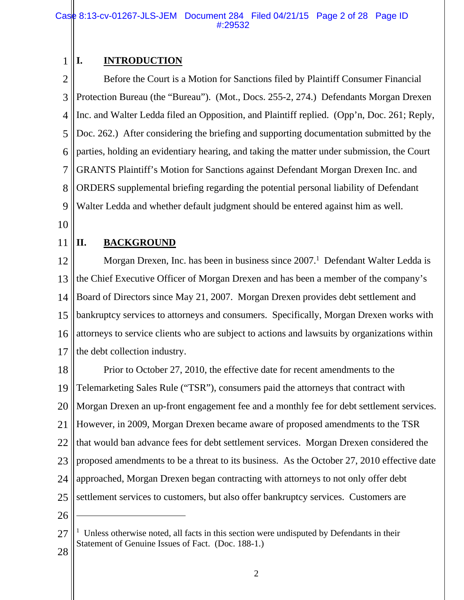#### 1 **I. INTRODUCTION**

2 3 4 5 6 7 8 9 Before the Court is a Motion for Sanctions filed by Plaintiff Consumer Financial Protection Bureau (the "Bureau"). (Mot., Docs. 255-2, 274.) Defendants Morgan Drexen Inc. and Walter Ledda filed an Opposition, and Plaintiff replied. (Opp'n, Doc. 261; Reply, Doc. 262.) After considering the briefing and supporting documentation submitted by the parties, holding an evidentiary hearing, and taking the matter under submission, the Court GRANTS Plaintiff's Motion for Sanctions against Defendant Morgan Drexen Inc. and ORDERS supplemental briefing regarding the potential personal liability of Defendant Walter Ledda and whether default judgment should be entered against him as well.

- 10
- 11

# **II. BACKGROUND**

12 13 14 15 16 17 Morgan Drexen, Inc. has been in business since  $2007<sup>1</sup>$  Defendant Walter Ledda is the Chief Executive Officer of Morgan Drexen and has been a member of the company's Board of Directors since May 21, 2007. Morgan Drexen provides debt settlement and bankruptcy services to attorneys and consumers. Specifically, Morgan Drexen works with attorneys to service clients who are subject to actions and lawsuits by organizations within the debt collection industry.

18 19 20 21 22 23 24 25 Prior to October 27, 2010, the effective date for recent amendments to the Telemarketing Sales Rule ("TSR"), consumers paid the attorneys that contract with Morgan Drexen an up-front engagement fee and a monthly fee for debt settlement services. However, in 2009, Morgan Drexen became aware of proposed amendments to the TSR that would ban advance fees for debt settlement services. Morgan Drexen considered the proposed amendments to be a threat to its business. As the October 27, 2010 effective date approached, Morgan Drexen began contracting with attorneys to not only offer debt settlement services to customers, but also offer bankruptcy services. Customers are

26

 $\overline{a}$ 

<sup>27</sup> <sup>1</sup> Unless otherwise noted, all facts in this section were undisputed by Defendants in their Statement of Genuine Issues of Fact. (Doc. 188-1.)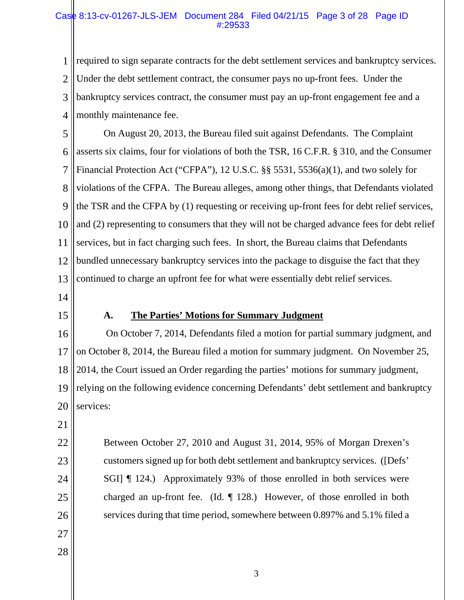## Case 8:13-cv-01267-JLS-JEM Document 284 Filed 04/21/15 Page 3 of 28 Page ID #:29533

1 2 3 4 required to sign separate contracts for the debt settlement services and bankruptcy services. Under the debt settlement contract, the consumer pays no up-front fees. Under the bankruptcy services contract, the consumer must pay an up-front engagement fee and a monthly maintenance fee.

5 6 7 8 9 10 11 12 13 On August 20, 2013, the Bureau filed suit against Defendants. The Complaint asserts six claims, four for violations of both the TSR, 16 C.F.R. § 310, and the Consumer Financial Protection Act ("CFPA"), 12 U.S.C. §§ 5531, 5536(a)(1), and two solely for violations of the CFPA. The Bureau alleges, among other things, that Defendants violated the TSR and the CFPA by (1) requesting or receiving up-front fees for debt relief services, and (2) representing to consumers that they will not be charged advance fees for debt relief services, but in fact charging such fees. In short, the Bureau claims that Defendants bundled unnecessary bankruptcy services into the package to disguise the fact that they continued to charge an upfront fee for what were essentially debt relief services.

- 14
- 15

# **A. The Parties' Motions for Summary Judgment**

16 17 18 19 20 On October 7, 2014, Defendants filed a motion for partial summary judgment, and on October 8, 2014, the Bureau filed a motion for summary judgment. On November 25, 2014, the Court issued an Order regarding the parties' motions for summary judgment, relying on the following evidence concerning Defendants' debt settlement and bankruptcy services:

21

23

24

25

- 22 Between October 27, 2010 and August 31, 2014, 95% of Morgan Drexen's customers signed up for both debt settlement and bankruptcy services. ([Defs' SGI] ¶ 124.) Approximately 93% of those enrolled in both services were charged an up-front fee. (Id. ¶ 128.) However, of those enrolled in both services during that time period, somewhere between 0.897% and 5.1% filed a
- 27
- 28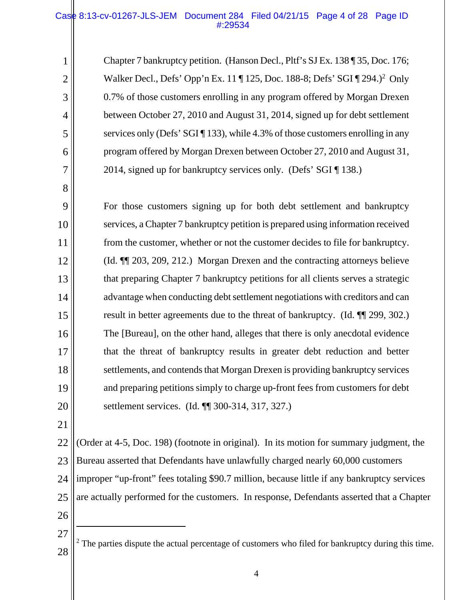## Case 8:13-cv-01267-JLS-JEM Document 284 Filed 04/21/15 Page 4 of 28 Page ID #:29534

Chapter 7 bankruptcy petition. (Hanson Decl., Pltf's SJ Ex. 138 ¶ 35, Doc. 176; Walker Decl., Defs' Opp'n Ex. 11 | 125, Doc. 188-8; Defs' SGI | 294.)<sup>2</sup> Only 0.7% of those customers enrolling in any program offered by Morgan Drexen between October 27, 2010 and August 31, 2014, signed up for debt settlement services only (Defs' SGI [ 133), while 4.3% of those customers enrolling in any program offered by Morgan Drexen between October 27, 2010 and August 31, 2014, signed up for bankruptcy services only. (Defs' SGI ¶ 138.)

9 10 11 12 13 14 15 16 17 18 19 20 For those customers signing up for both debt settlement and bankruptcy services, a Chapter 7 bankruptcy petition is prepared using information received from the customer, whether or not the customer decides to file for bankruptcy. (Id. ¶¶ 203, 209, 212.) Morgan Drexen and the contracting attorneys believe that preparing Chapter 7 bankruptcy petitions for all clients serves a strategic advantage when conducting debt settlement negotiations with creditors and can result in better agreements due to the threat of bankruptcy. (Id. ¶¶ 299, 302.) The [Bureau], on the other hand, alleges that there is only anecdotal evidence that the threat of bankruptcy results in greater debt reduction and better settlements, and contends that Morgan Drexen is providing bankruptcy services and preparing petitions simply to charge up-front fees from customers for debt settlement services. (Id. ¶¶ 300-314, 317, 327.)

21

1

2

3

4

5

6

7

8

22 23 24 25 26 (Order at 4-5, Doc. 198) (footnote in original). In its motion for summary judgment, the Bureau asserted that Defendants have unlawfully charged nearly 60,000 customers improper "up-front" fees totaling \$90.7 million, because little if any bankruptcy services are actually performed for the customers. In response, Defendants asserted that a Chapter

27

 $\overline{a}$ 

28  $2$  The parties dispute the actual percentage of customers who filed for bankruptcy during this time.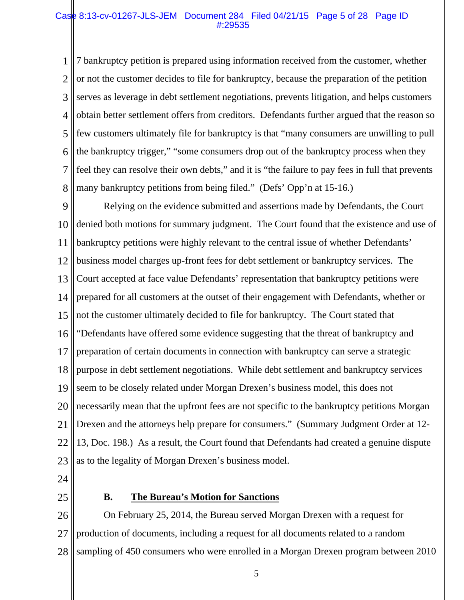#### Case 8:13-cv-01267-JLS-JEM Document 284 Filed 04/21/15 Page 5 of 28 Page ID #:29535

1 2 3 4 5 6 7 8 7 bankruptcy petition is prepared using information received from the customer, whether or not the customer decides to file for bankruptcy, because the preparation of the petition serves as leverage in debt settlement negotiations, prevents litigation, and helps customers obtain better settlement offers from creditors. Defendants further argued that the reason so few customers ultimately file for bankruptcy is that "many consumers are unwilling to pull the bankruptcy trigger," "some consumers drop out of the bankruptcy process when they feel they can resolve their own debts," and it is "the failure to pay fees in full that prevents many bankruptcy petitions from being filed." (Defs' Opp'n at 15-16.)

9 10 11 12 13 14 15 16 17 18 19 20 21 22 23 Relying on the evidence submitted and assertions made by Defendants, the Court denied both motions for summary judgment. The Court found that the existence and use of bankruptcy petitions were highly relevant to the central issue of whether Defendants' business model charges up-front fees for debt settlement or bankruptcy services. The Court accepted at face value Defendants' representation that bankruptcy petitions were prepared for all customers at the outset of their engagement with Defendants, whether or not the customer ultimately decided to file for bankruptcy. The Court stated that "Defendants have offered some evidence suggesting that the threat of bankruptcy and preparation of certain documents in connection with bankruptcy can serve a strategic purpose in debt settlement negotiations. While debt settlement and bankruptcy services seem to be closely related under Morgan Drexen's business model, this does not necessarily mean that the upfront fees are not specific to the bankruptcy petitions Morgan Drexen and the attorneys help prepare for consumers." (Summary Judgment Order at 12- 13, Doc. 198.) As a result, the Court found that Defendants had created a genuine dispute as to the legality of Morgan Drexen's business model.

- 24
- 25

## **B. The Bureau's Motion for Sanctions**

26 27 28 On February 25, 2014, the Bureau served Morgan Drexen with a request for production of documents, including a request for all documents related to a random sampling of 450 consumers who were enrolled in a Morgan Drexen program between 2010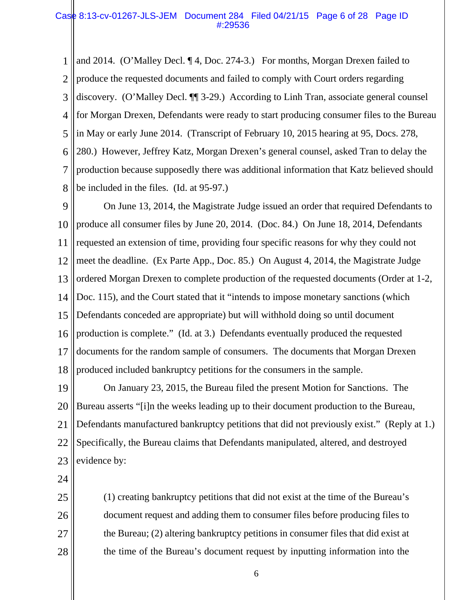## Case 8:13-cv-01267-JLS-JEM Document 284 Filed 04/21/15 Page 6 of 28 Page ID #:29536

1 2 3 4 5 6 7 8 and 2014. (O'Malley Decl. ¶ 4, Doc. 274-3.) For months, Morgan Drexen failed to produce the requested documents and failed to comply with Court orders regarding discovery. (O'Malley Decl. ¶¶ 3-29.) According to Linh Tran, associate general counsel for Morgan Drexen, Defendants were ready to start producing consumer files to the Bureau in May or early June 2014. (Transcript of February 10, 2015 hearing at 95, Docs. 278, 280.) However, Jeffrey Katz, Morgan Drexen's general counsel, asked Tran to delay the production because supposedly there was additional information that Katz believed should be included in the files. (Id. at 95-97.)

9 10 11 12 13 14 15 16 17 18 On June 13, 2014, the Magistrate Judge issued an order that required Defendants to produce all consumer files by June 20, 2014. (Doc. 84.) On June 18, 2014, Defendants requested an extension of time, providing four specific reasons for why they could not meet the deadline. (Ex Parte App., Doc. 85.) On August 4, 2014, the Magistrate Judge ordered Morgan Drexen to complete production of the requested documents (Order at 1-2, Doc. 115), and the Court stated that it "intends to impose monetary sanctions (which Defendants conceded are appropriate) but will withhold doing so until document production is complete." (Id. at 3.) Defendants eventually produced the requested documents for the random sample of consumers. The documents that Morgan Drexen produced included bankruptcy petitions for the consumers in the sample.

19 20 21 22 23 On January 23, 2015, the Bureau filed the present Motion for Sanctions. The Bureau asserts "[i]n the weeks leading up to their document production to the Bureau, Defendants manufactured bankruptcy petitions that did not previously exist." (Reply at 1.) Specifically, the Bureau claims that Defendants manipulated, altered, and destroyed evidence by:

24

25 26 27 28 (1) creating bankruptcy petitions that did not exist at the time of the Bureau's document request and adding them to consumer files before producing files to the Bureau; (2) altering bankruptcy petitions in consumer files that did exist at the time of the Bureau's document request by inputting information into the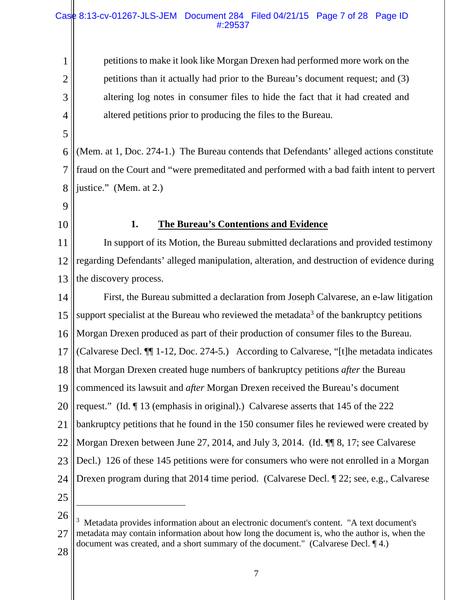## Case 8:13-cv-01267-JLS-JEM Document 284 Filed 04/21/15 Page 7 of 28 Page ID #:29537

petitions to make it look like Morgan Drexen had performed more work on the petitions than it actually had prior to the Bureau's document request; and (3) altering log notes in consumer files to hide the fact that it had created and altered petitions prior to producing the files to the Bureau.

6 7 8 (Mem. at 1, Doc. 274-1.) The Bureau contends that Defendants' alleged actions constitute fraud on the Court and "were premeditated and performed with a bad faith intent to pervert justice." (Mem. at 2.)

9

1

2

3

4

5

10

# **1. The Bureau's Contentions and Evidence**

11 12 13 In support of its Motion, the Bureau submitted declarations and provided testimony regarding Defendants' alleged manipulation, alteration, and destruction of evidence during the discovery process.

14 15 16 17 18 19 20 21 22 23 24 25 First, the Bureau submitted a declaration from Joseph Calvarese, an e-law litigation support specialist at the Bureau who reviewed the metadata<sup>3</sup> of the bankruptcy petitions Morgan Drexen produced as part of their production of consumer files to the Bureau. (Calvarese Decl. ¶¶ 1-12, Doc. 274-5.) According to Calvarese, "[t]he metadata indicates that Morgan Drexen created huge numbers of bankruptcy petitions *after* the Bureau commenced its lawsuit and *after* Morgan Drexen received the Bureau's document request." (Id. ¶ 13 (emphasis in original).) Calvarese asserts that 145 of the 222 bankruptcy petitions that he found in the 150 consumer files he reviewed were created by Morgan Drexen between June 27, 2014, and July 3, 2014. (Id. ¶¶ 8, 17; see Calvarese Decl.) 126 of these 145 petitions were for consumers who were not enrolled in a Morgan Drexen program during that 2014 time period. (Calvarese Decl. ¶ 22; see, e.g., Calvarese

 $\overline{a}$ 

26 27 <sup>3</sup> Metadata provides information about an electronic document's content. "A text document's metadata may contain information about how long the document is, who the author is, when the document was created, and a short summary of the document." (Calvarese Decl. ¶ 4.)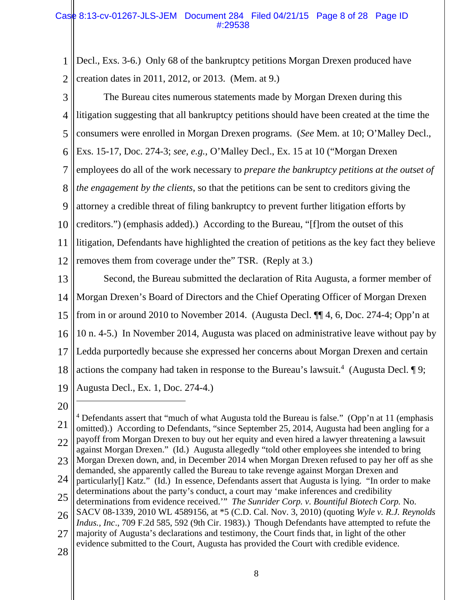1 2 Decl., Exs. 3-6.) Only 68 of the bankruptcy petitions Morgan Drexen produced have creation dates in 2011, 2012, or 2013. (Mem. at 9.)

- 3 4 5 6 7 8 9 10 11 12 The Bureau cites numerous statements made by Morgan Drexen during this litigation suggesting that all bankruptcy petitions should have been created at the time the consumers were enrolled in Morgan Drexen programs. (*See* Mem. at 10; O'Malley Decl., Exs. 15-17, Doc. 274-3; *see, e.g.,* O'Malley Decl., Ex. 15 at 10 ("Morgan Drexen employees do all of the work necessary to *prepare the bankruptcy petitions at the outset of the engagement by the clients*, so that the petitions can be sent to creditors giving the attorney a credible threat of filing bankruptcy to prevent further litigation efforts by creditors.") (emphasis added).) According to the Bureau, "[f]rom the outset of this litigation, Defendants have highlighted the creation of petitions as the key fact they believe removes them from coverage under the" TSR. (Reply at 3.)
- 13 14 15 16 17 18 19 Second, the Bureau submitted the declaration of Rita Augusta, a former member of Morgan Drexen's Board of Directors and the Chief Operating Officer of Morgan Drexen from in or around 2010 to November 2014. (Augusta Decl. ¶¶ 4, 6, Doc. 274-4; Opp'n at 10 n. 4-5.) In November 2014, Augusta was placed on administrative leave without pay by Ledda purportedly because she expressed her concerns about Morgan Drexen and certain actions the company had taken in response to the Bureau's lawsuit.<sup>4</sup> (Augusta Decl.  $\P$ 9; Augusta Decl., Ex. 1, Doc. 274-4.)
- 20

 $\overline{a}$ 

<sup>21</sup> 22 23 24 25 <sup>4</sup> Defendants assert that "much of what Augusta told the Bureau is false." (Opp'n at 11 (emphasis omitted).) According to Defendants, "since September 25, 2014, Augusta had been angling for a payoff from Morgan Drexen to buy out her equity and even hired a lawyer threatening a lawsuit against Morgan Drexen." (Id.) Augusta allegedly "told other employees she intended to bring Morgan Drexen down, and, in December 2014 when Morgan Drexen refused to pay her off as she demanded, she apparently called the Bureau to take revenge against Morgan Drexen and particularly[] Katz." (Id.) In essence, Defendants assert that Augusta is lying. "In order to make determinations about the party's conduct, a court may 'make inferences and credibility determinations from evidence received.'" *The Sunrider Corp. v. Bountiful Biotech Corp.* No.

<sup>26</sup> SACV 08-1339, 2010 WL 4589156, at \*5 (C.D. Cal. Nov. 3, 2010) (quoting *Wyle v. R.J. Reynolds Indus., Inc*., 709 F.2d 585, 592 (9th Cir. 1983).) Though Defendants have attempted to refute the

<sup>27</sup> majority of Augusta's declarations and testimony, the Court finds that, in light of the other evidence submitted to the Court, Augusta has provided the Court with credible evidence.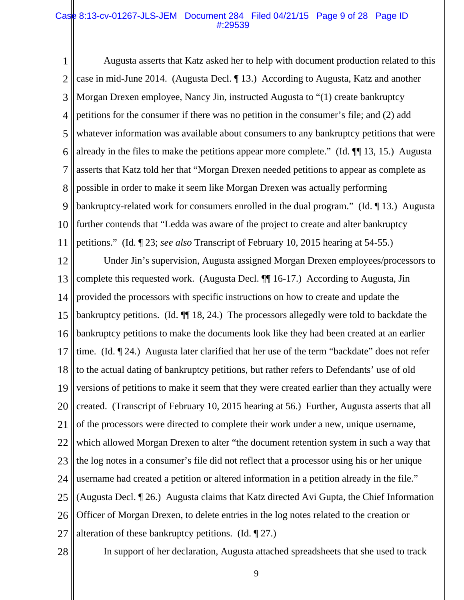## Case 8:13-cv-01267-JLS-JEM Document 284 Filed 04/21/15 Page 9 of 28 Page ID #:29539

1 2 3 4 5 6 7 8 9 10 11 Augusta asserts that Katz asked her to help with document production related to this case in mid-June 2014. (Augusta Decl. ¶ 13.) According to Augusta, Katz and another Morgan Drexen employee, Nancy Jin, instructed Augusta to "(1) create bankruptcy petitions for the consumer if there was no petition in the consumer's file; and (2) add whatever information was available about consumers to any bankruptcy petitions that were already in the files to make the petitions appear more complete." (Id. ¶¶ 13, 15.) Augusta asserts that Katz told her that "Morgan Drexen needed petitions to appear as complete as possible in order to make it seem like Morgan Drexen was actually performing bankruptcy-related work for consumers enrolled in the dual program." (Id. ¶ 13.) Augusta further contends that "Ledda was aware of the project to create and alter bankruptcy petitions." (Id. ¶ 23; *see also* Transcript of February 10, 2015 hearing at 54-55.)

12 13 14 15 16 17 18 19 20 21 22 23 24 25 26 27 Under Jin's supervision, Augusta assigned Morgan Drexen employees/processors to complete this requested work. (Augusta Decl. ¶¶ 16-17.) According to Augusta, Jin provided the processors with specific instructions on how to create and update the bankruptcy petitions. (Id. ¶¶ 18, 24.) The processors allegedly were told to backdate the bankruptcy petitions to make the documents look like they had been created at an earlier time. (Id. ¶ 24.) Augusta later clarified that her use of the term "backdate" does not refer to the actual dating of bankruptcy petitions, but rather refers to Defendants' use of old versions of petitions to make it seem that they were created earlier than they actually were created. (Transcript of February 10, 2015 hearing at 56.) Further, Augusta asserts that all of the processors were directed to complete their work under a new, unique username, which allowed Morgan Drexen to alter "the document retention system in such a way that the log notes in a consumer's file did not reflect that a processor using his or her unique username had created a petition or altered information in a petition already in the file." (Augusta Decl. ¶ 26.) Augusta claims that Katz directed Avi Gupta, the Chief Information Officer of Morgan Drexen, to delete entries in the log notes related to the creation or alteration of these bankruptcy petitions. (Id. ¶ 27.)

28

In support of her declaration, Augusta attached spreadsheets that she used to track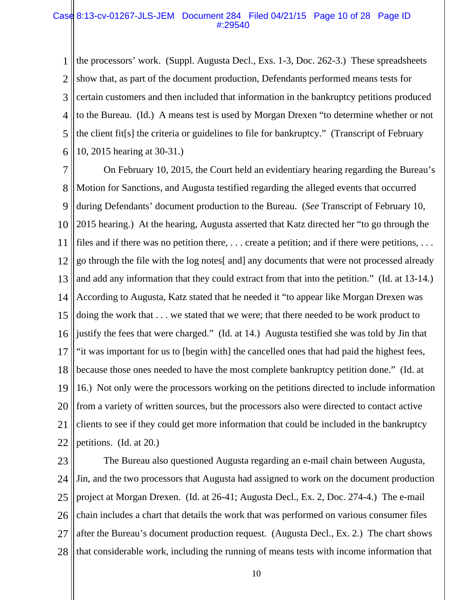## Case 8:13-cv-01267-JLS-JEM Document 284 Filed 04/21/15 Page 10 of 28 Page ID #:29540

1 2 3 4 5 6 the processors' work. (Suppl. Augusta Decl., Exs. 1-3, Doc. 262-3.) These spreadsheets show that, as part of the document production, Defendants performed means tests for certain customers and then included that information in the bankruptcy petitions produced to the Bureau. (Id.) A means test is used by Morgan Drexen "to determine whether or not the client fit[s] the criteria or guidelines to file for bankruptcy." (Transcript of February 10, 2015 hearing at 30-31.)

7 8 9 10 11 12 13 14 15 16 17 18 19 20 21 22 On February 10, 2015, the Court held an evidentiary hearing regarding the Bureau's Motion for Sanctions, and Augusta testified regarding the alleged events that occurred during Defendants' document production to the Bureau. (*See* Transcript of February 10, 2015 hearing.) At the hearing, Augusta asserted that Katz directed her "to go through the files and if there was no petition there, . . . create a petition; and if there were petitions, . . . go through the file with the log notes[ and] any documents that were not processed already and add any information that they could extract from that into the petition." (Id. at 13-14.) According to Augusta, Katz stated that he needed it "to appear like Morgan Drexen was doing the work that . . . we stated that we were; that there needed to be work product to justify the fees that were charged." (Id. at 14.) Augusta testified she was told by Jin that "it was important for us to [begin with] the cancelled ones that had paid the highest fees, because those ones needed to have the most complete bankruptcy petition done." (Id. at 16.) Not only were the processors working on the petitions directed to include information from a variety of written sources, but the processors also were directed to contact active clients to see if they could get more information that could be included in the bankruptcy petitions. (Id. at 20.)

23 24 25 26 27 28 The Bureau also questioned Augusta regarding an e-mail chain between Augusta, Jin, and the two processors that Augusta had assigned to work on the document production project at Morgan Drexen. (Id. at 26-41; Augusta Decl., Ex. 2, Doc. 274-4.) The e-mail chain includes a chart that details the work that was performed on various consumer files after the Bureau's document production request. (Augusta Decl., Ex. 2.) The chart shows that considerable work, including the running of means tests with income information that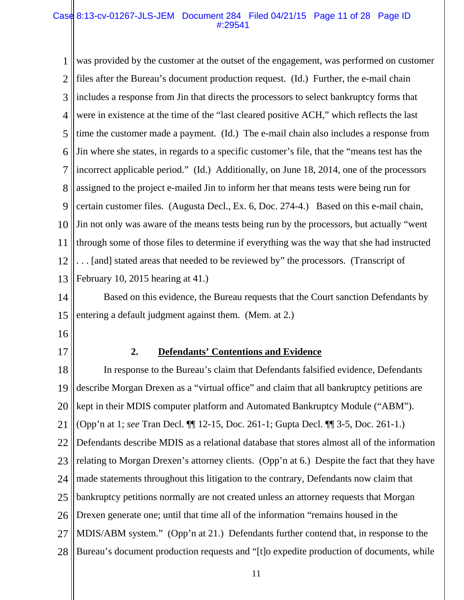## Case 8:13-cv-01267-JLS-JEM Document 284 Filed 04/21/15 Page 11 of 28 Page ID #:29541

1 2 3 4 5 6 7 8 9 10 11 12 13 was provided by the customer at the outset of the engagement, was performed on customer files after the Bureau's document production request. (Id.) Further, the e-mail chain includes a response from Jin that directs the processors to select bankruptcy forms that were in existence at the time of the "last cleared positive ACH," which reflects the last time the customer made a payment. (Id.) The e-mail chain also includes a response from Jin where she states, in regards to a specific customer's file, that the "means test has the incorrect applicable period." (Id.) Additionally, on June 18, 2014, one of the processors assigned to the project e-mailed Jin to inform her that means tests were being run for certain customer files. (Augusta Decl., Ex. 6, Doc. 274-4.) Based on this e-mail chain, Jin not only was aware of the means tests being run by the processors, but actually "went through some of those files to determine if everything was the way that she had instructed . . . [and] stated areas that needed to be reviewed by" the processors. (Transcript of February 10, 2015 hearing at 41.)

14 15 Based on this evidence, the Bureau requests that the Court sanction Defendants by entering a default judgment against them. (Mem. at 2.)

- 16
- 17

# **2. Defendants' Contentions and Evidence**

18 19 20 21 22 23 24 25 26 27 28 In response to the Bureau's claim that Defendants falsified evidence, Defendants describe Morgan Drexen as a "virtual office" and claim that all bankruptcy petitions are kept in their MDIS computer platform and Automated Bankruptcy Module ("ABM"). (Opp'n at 1; *see* Tran Decl. ¶¶ 12-15, Doc. 261-1; Gupta Decl. ¶¶ 3-5, Doc. 261-1.) Defendants describe MDIS as a relational database that stores almost all of the information relating to Morgan Drexen's attorney clients. (Opp'n at 6.) Despite the fact that they have made statements throughout this litigation to the contrary, Defendants now claim that bankruptcy petitions normally are not created unless an attorney requests that Morgan Drexen generate one; until that time all of the information "remains housed in the MDIS/ABM system." (Opp'n at 21.) Defendants further contend that, in response to the Bureau's document production requests and "[t]o expedite production of documents, while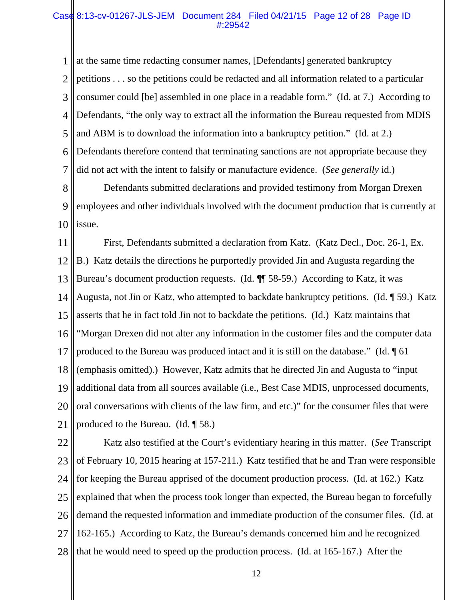## Case 8:13-cv-01267-JLS-JEM Document 284 Filed 04/21/15 Page 12 of 28 Page ID #:29542

1 2 3 4 5 6 7 at the same time redacting consumer names, [Defendants] generated bankruptcy petitions . . . so the petitions could be redacted and all information related to a particular consumer could [be] assembled in one place in a readable form." (Id. at 7.) According to Defendants, "the only way to extract all the information the Bureau requested from MDIS and ABM is to download the information into a bankruptcy petition." (Id. at 2.) Defendants therefore contend that terminating sanctions are not appropriate because they did not act with the intent to falsify or manufacture evidence. (*See generally* id.)

8 9 10 Defendants submitted declarations and provided testimony from Morgan Drexen employees and other individuals involved with the document production that is currently at issue.

11 12 13 14 15 16 17 18 19 20 21 First, Defendants submitted a declaration from Katz. (Katz Decl., Doc. 26-1, Ex. B.) Katz details the directions he purportedly provided Jin and Augusta regarding the Bureau's document production requests. (Id. ¶¶ 58-59.) According to Katz, it was Augusta, not Jin or Katz, who attempted to backdate bankruptcy petitions. (Id. ¶ 59.) Katz asserts that he in fact told Jin not to backdate the petitions. (Id.) Katz maintains that "Morgan Drexen did not alter any information in the customer files and the computer data produced to the Bureau was produced intact and it is still on the database." (Id. ¶ 61 (emphasis omitted).) However, Katz admits that he directed Jin and Augusta to "input additional data from all sources available (i.e., Best Case MDIS, unprocessed documents, oral conversations with clients of the law firm, and etc.)" for the consumer files that were produced to the Bureau. (Id. ¶ 58.)

22 23 24 25 26 27 28 Katz also testified at the Court's evidentiary hearing in this matter. (*See* Transcript of February 10, 2015 hearing at 157-211.) Katz testified that he and Tran were responsible for keeping the Bureau apprised of the document production process. (Id. at 162.) Katz explained that when the process took longer than expected, the Bureau began to forcefully demand the requested information and immediate production of the consumer files. (Id. at 162-165.) According to Katz, the Bureau's demands concerned him and he recognized that he would need to speed up the production process. (Id. at 165-167.) After the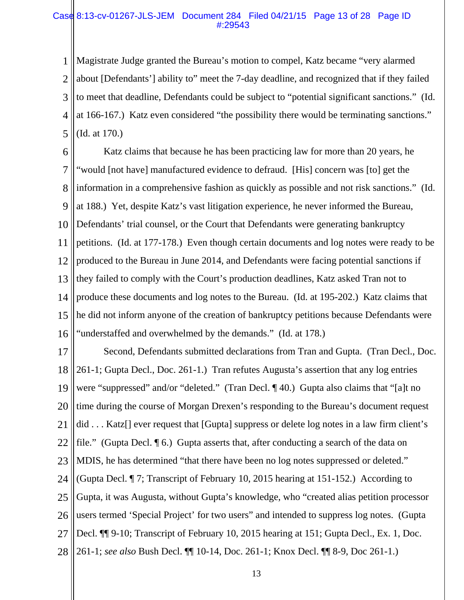## Case 8:13-cv-01267-JLS-JEM Document 284 Filed 04/21/15 Page 13 of 28 Page ID #:29543

1 2 3 4 5 Magistrate Judge granted the Bureau's motion to compel, Katz became "very alarmed about [Defendants'] ability to" meet the 7-day deadline, and recognized that if they failed to meet that deadline, Defendants could be subject to "potential significant sanctions." (Id. at 166-167.) Katz even considered "the possibility there would be terminating sanctions." (Id. at 170.)

6 7 8 9 10 11 12 13 14 15 16 Katz claims that because he has been practicing law for more than 20 years, he "would [not have] manufactured evidence to defraud. [His] concern was [to] get the information in a comprehensive fashion as quickly as possible and not risk sanctions." (Id. at 188.) Yet, despite Katz's vast litigation experience, he never informed the Bureau, Defendants' trial counsel, or the Court that Defendants were generating bankruptcy petitions. (Id. at 177-178.) Even though certain documents and log notes were ready to be produced to the Bureau in June 2014, and Defendants were facing potential sanctions if they failed to comply with the Court's production deadlines, Katz asked Tran not to produce these documents and log notes to the Bureau. (Id. at 195-202.) Katz claims that he did not inform anyone of the creation of bankruptcy petitions because Defendants were "understaffed and overwhelmed by the demands." (Id. at 178.)

17 18 19 20 21 22 23 24 25 26 27 28 Second, Defendants submitted declarations from Tran and Gupta. (Tran Decl., Doc. 261-1; Gupta Decl., Doc. 261-1.) Tran refutes Augusta's assertion that any log entries were "suppressed" and/or "deleted." (Tran Decl. ¶ 40.) Gupta also claims that "[a]t no time during the course of Morgan Drexen's responding to the Bureau's document request did . . . Katz<sup>[]</sup> ever request that [Gupta] suppress or delete log notes in a law firm client's file." (Gupta Decl. ¶ 6.) Gupta asserts that, after conducting a search of the data on MDIS, he has determined "that there have been no log notes suppressed or deleted." (Gupta Decl. ¶ 7; Transcript of February 10, 2015 hearing at 151-152.) According to Gupta, it was Augusta, without Gupta's knowledge, who "created alias petition processor users termed 'Special Project' for two users" and intended to suppress log notes. (Gupta Decl.  $\P$ [9-10; Transcript of February 10, 2015 hearing at 151; Gupta Decl., Ex. 1, Doc. 261-1; *see also* Bush Decl. ¶¶ 10-14, Doc. 261-1; Knox Decl. ¶¶ 8-9, Doc 261-1.)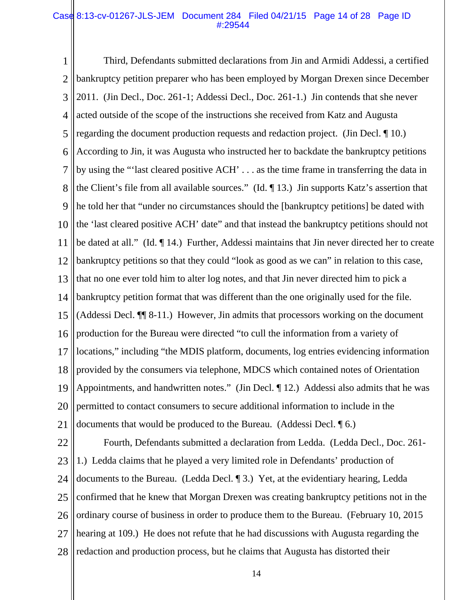## Case 8:13-cv-01267-JLS-JEM Document 284 Filed 04/21/15 Page 14 of 28 Page ID #:29544

1 2 3 4 5 6 7 8 9 10 11 12 13 14 15 16 17 18 19 20 21 Third, Defendants submitted declarations from Jin and Armidi Addessi, a certified bankruptcy petition preparer who has been employed by Morgan Drexen since December 2011. (Jin Decl., Doc. 261-1; Addessi Decl., Doc. 261-1.) Jin contends that she never acted outside of the scope of the instructions she received from Katz and Augusta regarding the document production requests and redaction project. (Jin Decl. ¶ 10.) According to Jin, it was Augusta who instructed her to backdate the bankruptcy petitions by using the "'last cleared positive ACH' . . . as the time frame in transferring the data in the Client's file from all available sources." (Id. ¶ 13.) Jin supports Katz's assertion that he told her that "under no circumstances should the [bankruptcy petitions] be dated with the 'last cleared positive ACH' date" and that instead the bankruptcy petitions should not be dated at all." (Id. ¶ 14.) Further, Addessi maintains that Jin never directed her to create bankruptcy petitions so that they could "look as good as we can" in relation to this case, that no one ever told him to alter log notes, and that Jin never directed him to pick a bankruptcy petition format that was different than the one originally used for the file. (Addessi Decl. ¶¶ 8-11.) However, Jin admits that processors working on the document production for the Bureau were directed "to cull the information from a variety of locations," including "the MDIS platform, documents, log entries evidencing information provided by the consumers via telephone, MDCS which contained notes of Orientation Appointments, and handwritten notes." (Jin Decl. ¶ 12.) Addessi also admits that he was permitted to contact consumers to secure additional information to include in the documents that would be produced to the Bureau. (Addessi Decl. ¶ 6.)

22 23 24 25 26 27 28 Fourth, Defendants submitted a declaration from Ledda. (Ledda Decl., Doc. 261- 1.) Ledda claims that he played a very limited role in Defendants' production of documents to the Bureau. (Ledda Decl. ¶ 3.) Yet, at the evidentiary hearing, Ledda confirmed that he knew that Morgan Drexen was creating bankruptcy petitions not in the ordinary course of business in order to produce them to the Bureau. (February 10, 2015 hearing at 109.) He does not refute that he had discussions with Augusta regarding the redaction and production process, but he claims that Augusta has distorted their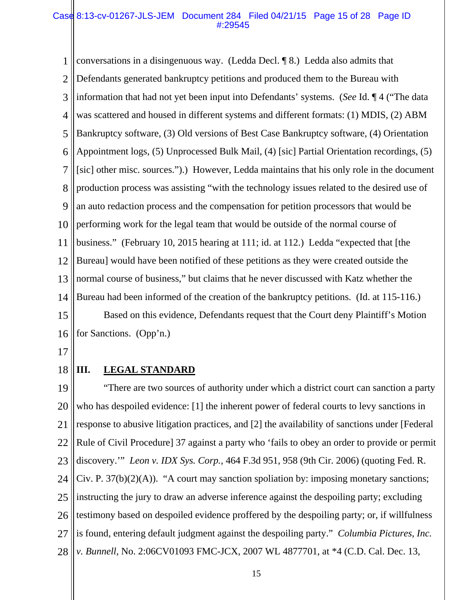## Case 8:13-cv-01267-JLS-JEM Document 284 Filed 04/21/15 Page 15 of 28 Page ID #:29545

1 2 3 4 5 6 7 8 9 10 11 12 13 14 15 16 conversations in a disingenuous way. (Ledda Decl. ¶ 8.) Ledda also admits that Defendants generated bankruptcy petitions and produced them to the Bureau with information that had not yet been input into Defendants' systems. (*See* Id. ¶ 4 ("The data was scattered and housed in different systems and different formats: (1) MDIS, (2) ABM Bankruptcy software, (3) Old versions of Best Case Bankruptcy software, (4) Orientation Appointment logs, (5) Unprocessed Bulk Mail, (4) [sic] Partial Orientation recordings, (5) [sic] other misc. sources.").) However, Ledda maintains that his only role in the document production process was assisting "with the technology issues related to the desired use of an auto redaction process and the compensation for petition processors that would be performing work for the legal team that would be outside of the normal course of business." (February 10, 2015 hearing at 111; id. at 112.) Ledda "expected that [the Bureau] would have been notified of these petitions as they were created outside the normal course of business," but claims that he never discussed with Katz whether the Bureau had been informed of the creation of the bankruptcy petitions. (Id. at 115-116.) Based on this evidence, Defendants request that the Court deny Plaintiff's Motion for Sanctions. (Opp'n.)

17

#### 18 **III.** LEGAL STANDARD

19 20 21 22 23 24 25 26 27 28 "There are two sources of authority under which a district court can sanction a party who has despoiled evidence: [1] the inherent power of federal courts to levy sanctions in response to abusive litigation practices, and [2] the availability of sanctions under [Federal Rule of Civil Procedure] 37 against a party who 'fails to obey an order to provide or permit discovery.'" *Leon v. IDX Sys. Corp.*, 464 F.3d 951, 958 (9th Cir. 2006) (quoting Fed. R. Civ. P.  $37(b)(2)(A)$ . "A court may sanction spoliation by: imposing monetary sanctions; instructing the jury to draw an adverse inference against the despoiling party; excluding testimony based on despoiled evidence proffered by the despoiling party; or, if willfulness is found, entering default judgment against the despoiling party." *Columbia Pictures, Inc. v. Bunnell*, No. 2:06CV01093 FMC-JCX, 2007 WL 4877701, at \*4 (C.D. Cal. Dec. 13,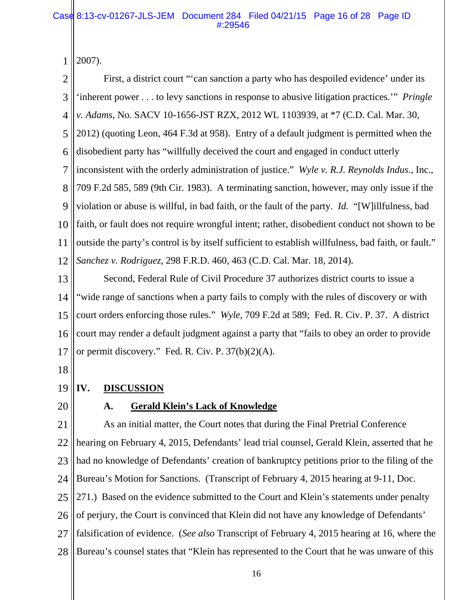1 2007).

2 3 4 5 6 7 8 9 10 11 12 First, a district court "'can sanction a party who has despoiled evidence' under its 'inherent power . . . to levy sanctions in response to abusive litigation practices.'" *Pringle v. Adams*, No. SACV 10-1656-JST RZX, 2012 WL 1103939, at \*7 (C.D. Cal. Mar. 30, 2012) (quoting Leon, 464 F.3d at 958). Entry of a default judgment is permitted when the disobedient party has "willfully deceived the court and engaged in conduct utterly inconsistent with the orderly administration of justice." *Wyle v. R.J. Reynolds Indus.*, Inc., 709 F.2d 585, 589 (9th Cir. 1983). A terminating sanction, however, may only issue if the violation or abuse is willful, in bad faith, or the fault of the party. *Id.* "[W]illfulness, bad faith, or fault does not require wrongful intent; rather, disobedient conduct not shown to be outside the party's control is by itself sufficient to establish willfulness, bad faith, or fault." *Sanchez v. Rodriguez*, 298 F.R.D. 460, 463 (C.D. Cal. Mar. 18, 2014).

13 14 15 16 17 Second, Federal Rule of Civil Procedure 37 authorizes district courts to issue a "wide range of sanctions when a party fails to comply with the rules of discovery or with court orders enforcing those rules." *Wyle*, 709 F.2d at 589; Fed. R. Civ. P. 37. A district court may render a default judgment against a party that "fails to obey an order to provide or permit discovery." Fed. R. Civ. P. 37(b)(2)(A).

18

- 19 **IV. DISCUSSION**
- 20

# **A. Gerald Klein's Lack of Knowledge**

21 22 23 24 25 26 27 28 As an initial matter, the Court notes that during the Final Pretrial Conference hearing on February 4, 2015, Defendants' lead trial counsel, Gerald Klein, asserted that he had no knowledge of Defendants' creation of bankruptcy petitions prior to the filing of the Bureau's Motion for Sanctions. (Transcript of February 4, 2015 hearing at 9-11, Doc. 271.) Based on the evidence submitted to the Court and Klein's statements under penalty of perjury, the Court is convinced that Klein did not have any knowledge of Defendants' falsification of evidence. (*See also* Transcript of February 4, 2015 hearing at 16, where the Bureau's counsel states that "Klein has represented to the Court that he was unware of this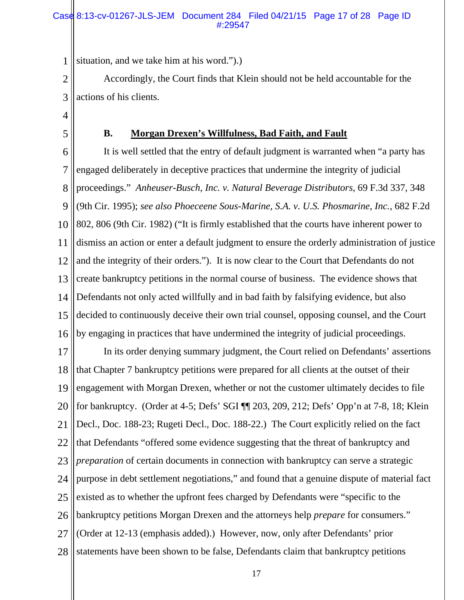## Case 8:13-cv-01267-JLS-JEM Document 284 Filed 04/21/15 Page 17 of 28 Page ID #:29547

1 situation, and we take him at his word.").)

2 3 Accordingly, the Court finds that Klein should not be held accountable for the actions of his clients.

4

5

# **B. Morgan Drexen's Willfulness, Bad Faith, and Fault**

6 7 8 9 10 11 12 13 14 15 16 It is well settled that the entry of default judgment is warranted when "a party has engaged deliberately in deceptive practices that undermine the integrity of judicial proceedings." *Anheuser-Busch, Inc. v. Natural Beverage Distributors*, 69 F.3d 337, 348 (9th Cir. 1995); *see also Phoeceene Sous-Marine, S.A. v. U.S. Phosmarine, Inc.*, 682 F.2d 802, 806 (9th Cir. 1982) ("It is firmly established that the courts have inherent power to dismiss an action or enter a default judgment to ensure the orderly administration of justice and the integrity of their orders."). It is now clear to the Court that Defendants do not create bankruptcy petitions in the normal course of business. The evidence shows that Defendants not only acted willfully and in bad faith by falsifying evidence, but also decided to continuously deceive their own trial counsel, opposing counsel, and the Court by engaging in practices that have undermined the integrity of judicial proceedings.

17 18 19 20 21 22 23 24 25 26 27 28 In its order denying summary judgment, the Court relied on Defendants' assertions that Chapter 7 bankruptcy petitions were prepared for all clients at the outset of their engagement with Morgan Drexen, whether or not the customer ultimately decides to file for bankruptcy. (Order at 4-5; Defs' SGI ¶¶ 203, 209, 212; Defs' Opp'n at 7-8, 18; Klein Decl., Doc. 188-23; Rugeti Decl., Doc. 188-22.) The Court explicitly relied on the fact that Defendants "offered some evidence suggesting that the threat of bankruptcy and *preparation* of certain documents in connection with bankruptcy can serve a strategic purpose in debt settlement negotiations," and found that a genuine dispute of material fact existed as to whether the upfront fees charged by Defendants were "specific to the bankruptcy petitions Morgan Drexen and the attorneys help *prepare* for consumers." (Order at 12-13 (emphasis added).) However, now, only after Defendants' prior statements have been shown to be false, Defendants claim that bankruptcy petitions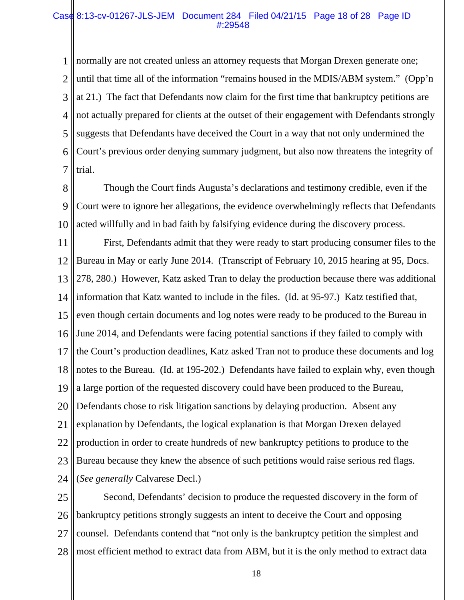## Case 8:13-cv-01267-JLS-JEM Document 284 Filed 04/21/15 Page 18 of 28 Page ID #:29548

1 2 3 4 5 6 7 normally are not created unless an attorney requests that Morgan Drexen generate one; until that time all of the information "remains housed in the MDIS/ABM system." (Opp'n at 21.) The fact that Defendants now claim for the first time that bankruptcy petitions are not actually prepared for clients at the outset of their engagement with Defendants strongly suggests that Defendants have deceived the Court in a way that not only undermined the Court's previous order denying summary judgment, but also now threatens the integrity of trial.

8 9 10 Though the Court finds Augusta's declarations and testimony credible, even if the Court were to ignore her allegations, the evidence overwhelmingly reflects that Defendants acted willfully and in bad faith by falsifying evidence during the discovery process.

11 12 13 14 15 16 17 18 19 20 21 22 23 24 First, Defendants admit that they were ready to start producing consumer files to the Bureau in May or early June 2014. (Transcript of February 10, 2015 hearing at 95, Docs. 278, 280.) However, Katz asked Tran to delay the production because there was additional information that Katz wanted to include in the files. (Id. at 95-97.) Katz testified that, even though certain documents and log notes were ready to be produced to the Bureau in June 2014, and Defendants were facing potential sanctions if they failed to comply with the Court's production deadlines, Katz asked Tran not to produce these documents and log notes to the Bureau. (Id. at 195-202.) Defendants have failed to explain why, even though a large portion of the requested discovery could have been produced to the Bureau, Defendants chose to risk litigation sanctions by delaying production. Absent any explanation by Defendants, the logical explanation is that Morgan Drexen delayed production in order to create hundreds of new bankruptcy petitions to produce to the Bureau because they knew the absence of such petitions would raise serious red flags. (*See generally* Calvarese Decl.)

25 26 27 28 Second, Defendants' decision to produce the requested discovery in the form of bankruptcy petitions strongly suggests an intent to deceive the Court and opposing counsel. Defendants contend that "not only is the bankruptcy petition the simplest and most efficient method to extract data from ABM, but it is the only method to extract data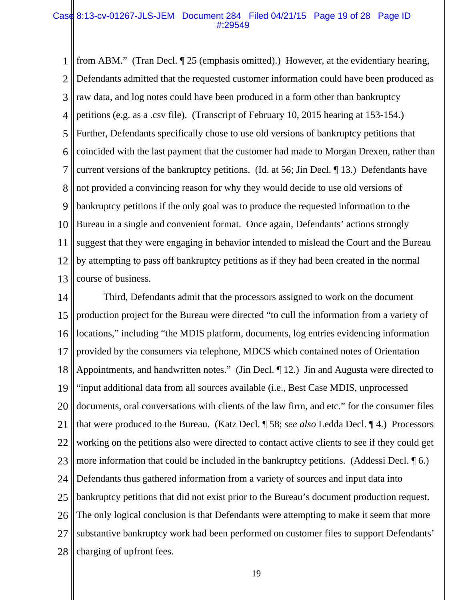## Case 8:13-cv-01267-JLS-JEM Document 284 Filed 04/21/15 Page 19 of 28 Page ID #:29549

1 2 3 4 5 6 7 8 9 10 11 12 13 from ABM." (Tran Decl. ¶ 25 (emphasis omitted).) However, at the evidentiary hearing, Defendants admitted that the requested customer information could have been produced as raw data, and log notes could have been produced in a form other than bankruptcy petitions (e.g. as a .csv file). (Transcript of February 10, 2015 hearing at 153-154.) Further, Defendants specifically chose to use old versions of bankruptcy petitions that coincided with the last payment that the customer had made to Morgan Drexen, rather than current versions of the bankruptcy petitions. (Id. at 56; Jin Decl. ¶ 13.) Defendants have not provided a convincing reason for why they would decide to use old versions of bankruptcy petitions if the only goal was to produce the requested information to the Bureau in a single and convenient format. Once again, Defendants' actions strongly suggest that they were engaging in behavior intended to mislead the Court and the Bureau by attempting to pass off bankruptcy petitions as if they had been created in the normal course of business.

14 15 16 17 18 19 20 21 22 23 24 25 26 27 28 Third, Defendants admit that the processors assigned to work on the document production project for the Bureau were directed "to cull the information from a variety of locations," including "the MDIS platform, documents, log entries evidencing information provided by the consumers via telephone, MDCS which contained notes of Orientation Appointments, and handwritten notes." (Jin Decl. ¶ 12.) Jin and Augusta were directed to "input additional data from all sources available (i.e., Best Case MDIS, unprocessed documents, oral conversations with clients of the law firm, and etc." for the consumer files that were produced to the Bureau. (Katz Decl. ¶ 58; *see also* Ledda Decl. ¶ 4.) Processors working on the petitions also were directed to contact active clients to see if they could get more information that could be included in the bankruptcy petitions. (Addessi Decl. ¶ 6.) Defendants thus gathered information from a variety of sources and input data into bankruptcy petitions that did not exist prior to the Bureau's document production request. The only logical conclusion is that Defendants were attempting to make it seem that more substantive bankruptcy work had been performed on customer files to support Defendants' charging of upfront fees.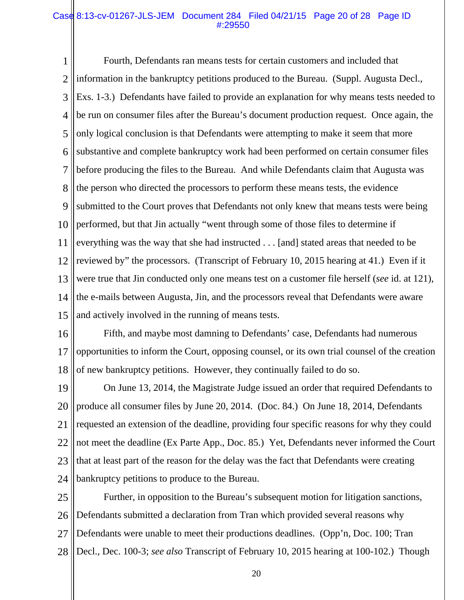## Case 8:13-cv-01267-JLS-JEM Document 284 Filed 04/21/15 Page 20 of 28 Page ID #:29550

1 2 3 4 5 6 7 8 9 10 11 12 13 14 15 Fourth, Defendants ran means tests for certain customers and included that information in the bankruptcy petitions produced to the Bureau. (Suppl. Augusta Decl., Exs. 1-3.) Defendants have failed to provide an explanation for why means tests needed to be run on consumer files after the Bureau's document production request. Once again, the only logical conclusion is that Defendants were attempting to make it seem that more substantive and complete bankruptcy work had been performed on certain consumer files before producing the files to the Bureau. And while Defendants claim that Augusta was the person who directed the processors to perform these means tests, the evidence submitted to the Court proves that Defendants not only knew that means tests were being performed, but that Jin actually "went through some of those files to determine if everything was the way that she had instructed . . . [and] stated areas that needed to be reviewed by" the processors. (Transcript of February 10, 2015 hearing at 41.) Even if it were true that Jin conducted only one means test on a customer file herself (*see* id. at 121), the e-mails between Augusta, Jin, and the processors reveal that Defendants were aware and actively involved in the running of means tests.

16 17 18 Fifth, and maybe most damning to Defendants' case, Defendants had numerous opportunities to inform the Court, opposing counsel, or its own trial counsel of the creation of new bankruptcy petitions. However, they continually failed to do so.

19 20 21 22 23 24 On June 13, 2014, the Magistrate Judge issued an order that required Defendants to produce all consumer files by June 20, 2014. (Doc. 84.) On June 18, 2014, Defendants requested an extension of the deadline, providing four specific reasons for why they could not meet the deadline (Ex Parte App., Doc. 85.) Yet, Defendants never informed the Court that at least part of the reason for the delay was the fact that Defendants were creating bankruptcy petitions to produce to the Bureau.

25 26 27 28 Further, in opposition to the Bureau's subsequent motion for litigation sanctions, Defendants submitted a declaration from Tran which provided several reasons why Defendants were unable to meet their productions deadlines. (Opp'n, Doc. 100; Tran Decl., Dec. 100-3; *see also* Transcript of February 10, 2015 hearing at 100-102.) Though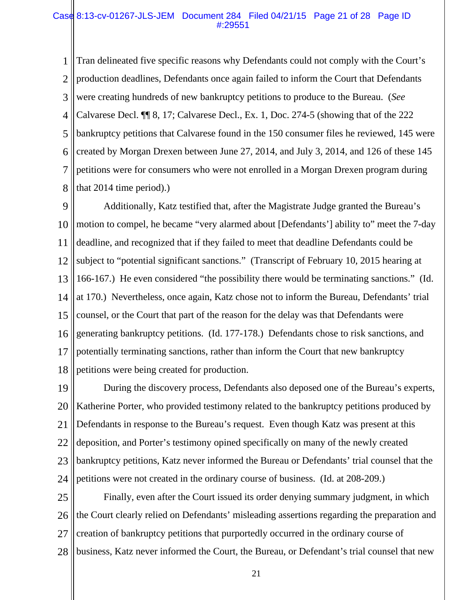### Case 8:13-cv-01267-JLS-JEM Document 284 Filed 04/21/15 Page 21 of 28 Page ID #:29551

1 2 3 4 5 6 7 8 Tran delineated five specific reasons why Defendants could not comply with the Court's production deadlines, Defendants once again failed to inform the Court that Defendants were creating hundreds of new bankruptcy petitions to produce to the Bureau. (*See*  Calvarese Decl. ¶¶ 8, 17; Calvarese Decl., Ex. 1, Doc. 274-5 (showing that of the 222 bankruptcy petitions that Calvarese found in the 150 consumer files he reviewed, 145 were created by Morgan Drexen between June 27, 2014, and July 3, 2014, and 126 of these 145 petitions were for consumers who were not enrolled in a Morgan Drexen program during that 2014 time period).)

9 10 11 12 13 14 15 16 17 18 Additionally, Katz testified that, after the Magistrate Judge granted the Bureau's motion to compel, he became "very alarmed about [Defendants'] ability to" meet the 7-day deadline, and recognized that if they failed to meet that deadline Defendants could be subject to "potential significant sanctions." (Transcript of February 10, 2015 hearing at 166-167.) He even considered "the possibility there would be terminating sanctions." (Id. at 170.) Nevertheless, once again, Katz chose not to inform the Bureau, Defendants' trial counsel, or the Court that part of the reason for the delay was that Defendants were generating bankruptcy petitions. (Id. 177-178.) Defendants chose to risk sanctions, and potentially terminating sanctions, rather than inform the Court that new bankruptcy petitions were being created for production.

19 20 21 22 23 24 During the discovery process, Defendants also deposed one of the Bureau's experts, Katherine Porter, who provided testimony related to the bankruptcy petitions produced by Defendants in response to the Bureau's request. Even though Katz was present at this deposition, and Porter's testimony opined specifically on many of the newly created bankruptcy petitions, Katz never informed the Bureau or Defendants' trial counsel that the petitions were not created in the ordinary course of business. (Id. at 208-209.)

25 26 27 28 Finally, even after the Court issued its order denying summary judgment, in which the Court clearly relied on Defendants' misleading assertions regarding the preparation and creation of bankruptcy petitions that purportedly occurred in the ordinary course of business, Katz never informed the Court, the Bureau, or Defendant's trial counsel that new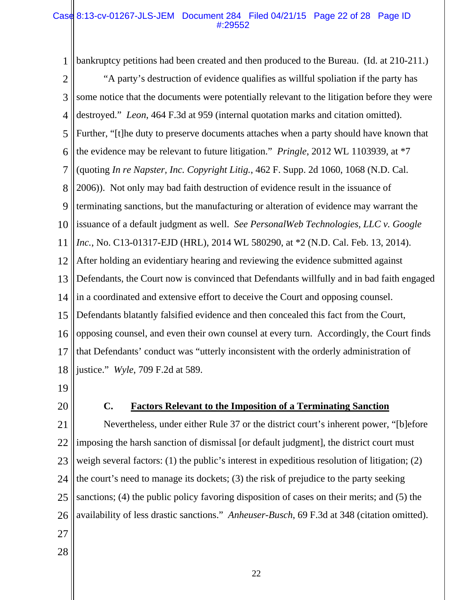## Case 8:13-cv-01267-JLS-JEM Document 284 Filed 04/21/15 Page 22 of 28 Page ID #:29552

1 bankruptcy petitions had been created and then produced to the Bureau. (Id. at 210-211.)

2 3 4 5 6 7 8 9 10 11 12 13 14 15 16 17 18 "A party's destruction of evidence qualifies as willful spoliation if the party has some notice that the documents were potentially relevant to the litigation before they were destroyed." *Leon*, 464 F.3d at 959 (internal quotation marks and citation omitted). Further, "[t]he duty to preserve documents attaches when a party should have known that the evidence may be relevant to future litigation." *Pringle*, 2012 WL 1103939, at \*7 (quoting *In re Napster, Inc. Copyright Litig.*, 462 F. Supp. 2d 1060, 1068 (N.D. Cal. 2006)). Not only may bad faith destruction of evidence result in the issuance of terminating sanctions, but the manufacturing or alteration of evidence may warrant the issuance of a default judgment as well. *See PersonalWeb Technologies, LLC v. Google Inc.*, No. C13-01317-EJD (HRL), 2014 WL 580290, at \*2 (N.D. Cal. Feb. 13, 2014). After holding an evidentiary hearing and reviewing the evidence submitted against Defendants, the Court now is convinced that Defendants willfully and in bad faith engaged in a coordinated and extensive effort to deceive the Court and opposing counsel. Defendants blatantly falsified evidence and then concealed this fact from the Court, opposing counsel, and even their own counsel at every turn. Accordingly, the Court finds that Defendants' conduct was "utterly inconsistent with the orderly administration of justice." *Wyle*, 709 F.2d at 589.

- 19
- 20

# **C. Factors Relevant to the Imposition of a Terminating Sanction**

21 22 23 24 25 26 Nevertheless, under either Rule 37 or the district court's inherent power, "[b]efore imposing the harsh sanction of dismissal [or default judgment], the district court must weigh several factors: (1) the public's interest in expeditious resolution of litigation; (2) the court's need to manage its dockets; (3) the risk of prejudice to the party seeking sanctions; (4) the public policy favoring disposition of cases on their merits; and (5) the availability of less drastic sanctions." *Anheuser-Busch*, 69 F.3d at 348 (citation omitted).

- 27
- 28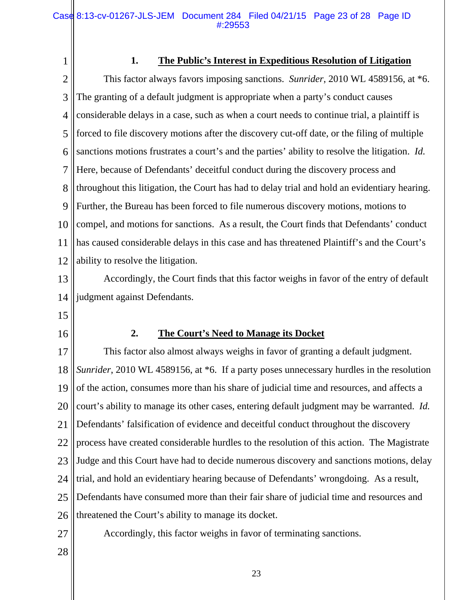1 2 3 4 5 6 7 8 9 10 11 12 13 14 15 16 17 18 19 20 21 22 23 24 **1. The Public's Interest in Expeditious Resolution of Litigation**  This factor always favors imposing sanctions. *Sunrider*, 2010 WL 4589156, at \*6. The granting of a default judgment is appropriate when a party's conduct causes considerable delays in a case, such as when a court needs to continue trial, a plaintiff is forced to file discovery motions after the discovery cut-off date, or the filing of multiple sanctions motions frustrates a court's and the parties' ability to resolve the litigation. *Id.* Here, because of Defendants' deceitful conduct during the discovery process and throughout this litigation, the Court has had to delay trial and hold an evidentiary hearing. Further, the Bureau has been forced to file numerous discovery motions, motions to compel, and motions for sanctions. As a result, the Court finds that Defendants' conduct has caused considerable delays in this case and has threatened Plaintiff's and the Court's ability to resolve the litigation. Accordingly, the Court finds that this factor weighs in favor of the entry of default judgment against Defendants. **2. The Court's Need to Manage its Docket**  This factor also almost always weighs in favor of granting a default judgment. *Sunrider*, 2010 WL 4589156, at  $*6$ . If a party poses unnecessary hurdles in the resolution of the action, consumes more than his share of judicial time and resources, and affects a court's ability to manage its other cases, entering default judgment may be warranted. *Id.* Defendants' falsification of evidence and deceitful conduct throughout the discovery process have created considerable hurdles to the resolution of this action. The Magistrate Judge and this Court have had to decide numerous discovery and sanctions motions, delay trial, and hold an evidentiary hearing because of Defendants' wrongdoing. As a result,

25 Defendants have consumed more than their fair share of judicial time and resources and

- 26 threatened the Court's ability to manage its docket.
- 27

Accordingly, this factor weighs in favor of terminating sanctions.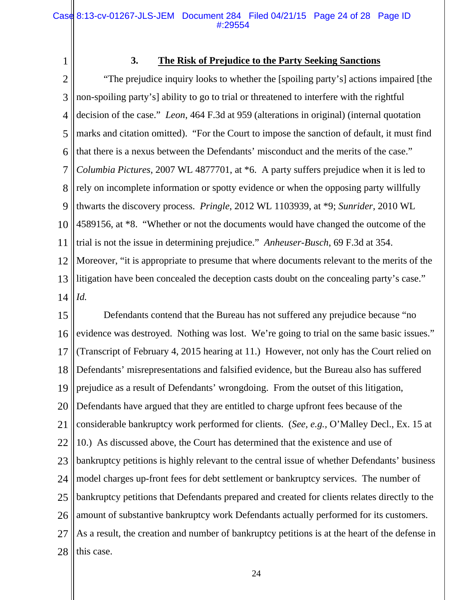1

# **3. The Risk of Prejudice to the Party Seeking Sanctions**

2 3 4 5 6 7 8 9 10 11 12 13 14 "The prejudice inquiry looks to whether the [spoiling party's] actions impaired [the non-spoiling party's] ability to go to trial or threatened to interfere with the rightful decision of the case." *Leon*, 464 F.3d at 959 (alterations in original) (internal quotation marks and citation omitted). "For the Court to impose the sanction of default, it must find that there is a nexus between the Defendants' misconduct and the merits of the case." *Columbia Pictures*, 2007 WL 4877701, at \*6. A party suffers prejudice when it is led to rely on incomplete information or spotty evidence or when the opposing party willfully thwarts the discovery process. *Pringle*, 2012 WL 1103939, at \*9; *Sunrider*, 2010 WL 4589156, at \*8. "Whether or not the documents would have changed the outcome of the trial is not the issue in determining prejudice." *Anheuser-Busch*, 69 F.3d at 354. Moreover, "it is appropriate to presume that where documents relevant to the merits of the litigation have been concealed the deception casts doubt on the concealing party's case." *Id.* 

15 16 17 18 19 20 21 22 23 24 25 26 27 28 Defendants contend that the Bureau has not suffered any prejudice because "no evidence was destroyed. Nothing was lost. We're going to trial on the same basic issues." (Transcript of February 4, 2015 hearing at 11.) However, not only has the Court relied on Defendants' misrepresentations and falsified evidence, but the Bureau also has suffered prejudice as a result of Defendants' wrongdoing. From the outset of this litigation, Defendants have argued that they are entitled to charge upfront fees because of the considerable bankruptcy work performed for clients. (*See, e.g.,* O'Malley Decl., Ex. 15 at 10.) As discussed above, the Court has determined that the existence and use of bankruptcy petitions is highly relevant to the central issue of whether Defendants' business model charges up-front fees for debt settlement or bankruptcy services. The number of bankruptcy petitions that Defendants prepared and created for clients relates directly to the amount of substantive bankruptcy work Defendants actually performed for its customers. As a result, the creation and number of bankruptcy petitions is at the heart of the defense in this case.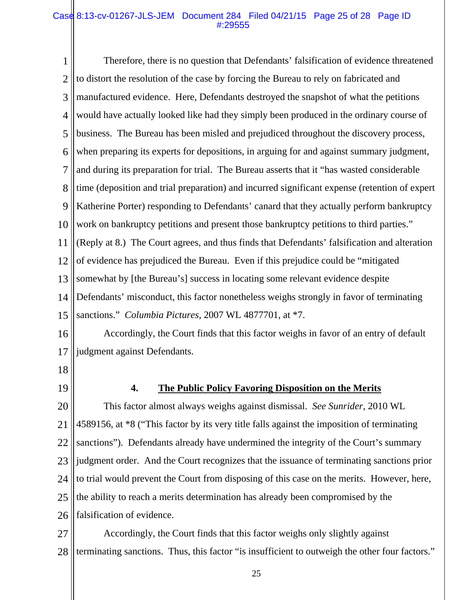## Case 8:13-cv-01267-JLS-JEM Document 284 Filed 04/21/15 Page 25 of 28 Page ID #:29555

1 2 3 4 5 6 7 8 9 10 11 12 13 14 15 Therefore, there is no question that Defendants' falsification of evidence threatened to distort the resolution of the case by forcing the Bureau to rely on fabricated and manufactured evidence. Here, Defendants destroyed the snapshot of what the petitions would have actually looked like had they simply been produced in the ordinary course of business. The Bureau has been misled and prejudiced throughout the discovery process, when preparing its experts for depositions, in arguing for and against summary judgment, and during its preparation for trial. The Bureau asserts that it "has wasted considerable time (deposition and trial preparation) and incurred significant expense (retention of expert Katherine Porter) responding to Defendants' canard that they actually perform bankruptcy work on bankruptcy petitions and present those bankruptcy petitions to third parties." (Reply at 8.) The Court agrees, and thus finds that Defendants' falsification and alteration of evidence has prejudiced the Bureau. Even if this prejudice could be "mitigated somewhat by [the Bureau's] success in locating some relevant evidence despite Defendants' misconduct, this factor nonetheless weighs strongly in favor of terminating sanctions." *Columbia Pictures*, 2007 WL 4877701, at \*7.

16 17 Accordingly, the Court finds that this factor weighs in favor of an entry of default judgment against Defendants.

- 18
- 19

## **4. The Public Policy Favoring Disposition on the Merits**

20 21 22 23 24 25 26 This factor almost always weighs against dismissal. *See Sunrider*, 2010 WL 4589156, at \*8 ("This factor by its very title falls against the imposition of terminating sanctions"). Defendants already have undermined the integrity of the Court's summary judgment order. And the Court recognizes that the issuance of terminating sanctions prior to trial would prevent the Court from disposing of this case on the merits. However, here, the ability to reach a merits determination has already been compromised by the falsification of evidence.

27 28 Accordingly, the Court finds that this factor weighs only slightly against terminating sanctions. Thus, this factor "is insufficient to outweigh the other four factors."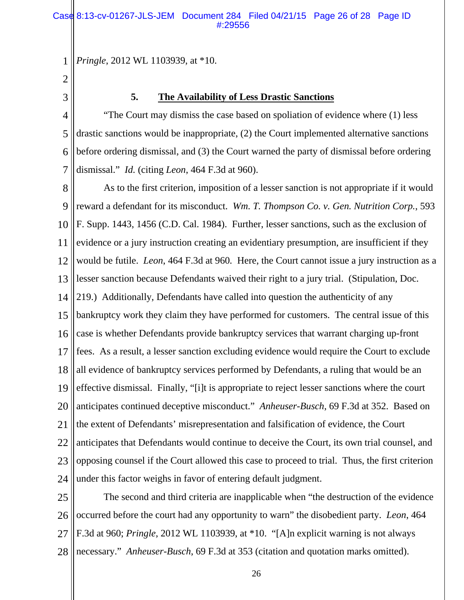1 *Pringle*, 2012 WL 1103939, at \*10.

- 2
- 3

# **5. The Availability of Less Drastic Sanctions**

4 5 6 7 "The Court may dismiss the case based on spoliation of evidence where (1) less drastic sanctions would be inappropriate, (2) the Court implemented alternative sanctions before ordering dismissal, and (3) the Court warned the party of dismissal before ordering dismissal." *Id.* (citing *Leon*, 464 F.3d at 960).

8 9 10 11 12 13 14 15 16 17 18 19 20 21 22 23 24 As to the first criterion, imposition of a lesser sanction is not appropriate if it would reward a defendant for its misconduct. *Wm. T. Thompson Co. v. Gen. Nutrition Corp.*, 593 F. Supp. 1443, 1456 (C.D. Cal. 1984). Further, lesser sanctions, such as the exclusion of evidence or a jury instruction creating an evidentiary presumption, are insufficient if they would be futile. *Leon*, 464 F.3d at 960*.* Here, the Court cannot issue a jury instruction as a lesser sanction because Defendants waived their right to a jury trial. (Stipulation, Doc. 219.) Additionally, Defendants have called into question the authenticity of any bankruptcy work they claim they have performed for customers. The central issue of this case is whether Defendants provide bankruptcy services that warrant charging up-front fees. As a result, a lesser sanction excluding evidence would require the Court to exclude all evidence of bankruptcy services performed by Defendants, a ruling that would be an effective dismissal. Finally, "[i]t is appropriate to reject lesser sanctions where the court anticipates continued deceptive misconduct." *Anheuser-Busch*, 69 F.3d at 352. Based on the extent of Defendants' misrepresentation and falsification of evidence, the Court anticipates that Defendants would continue to deceive the Court, its own trial counsel, and opposing counsel if the Court allowed this case to proceed to trial. Thus, the first criterion under this factor weighs in favor of entering default judgment.

25 26 27 28 The second and third criteria are inapplicable when "the destruction of the evidence occurred before the court had any opportunity to warn" the disobedient party. *Leon*, 464 F.3d at 960; *Pringle*, 2012 WL 1103939, at \*10. "[A]n explicit warning is not always necessary." *Anheuser-Busch*, 69 F.3d at 353 (citation and quotation marks omitted).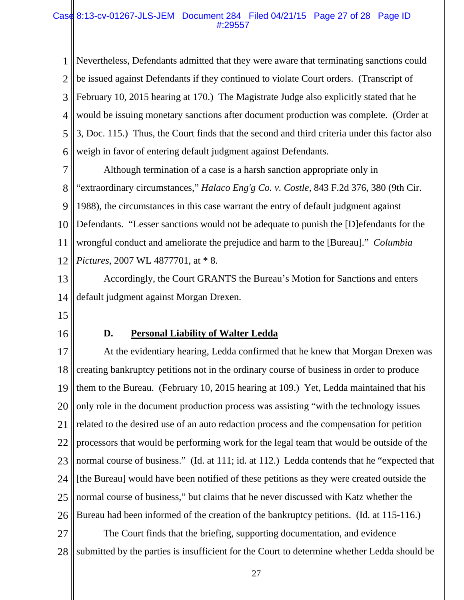## Case 8:13-cv-01267-JLS-JEM Document 284 Filed 04/21/15 Page 27 of 28 Page ID #:29557

1 2 3 4 5 6 Nevertheless, Defendants admitted that they were aware that terminating sanctions could be issued against Defendants if they continued to violate Court orders. (Transcript of February 10, 2015 hearing at 170.) The Magistrate Judge also explicitly stated that he would be issuing monetary sanctions after document production was complete. (Order at 3, Doc. 115.) Thus, the Court finds that the second and third criteria under this factor also weigh in favor of entering default judgment against Defendants.

7 8 9 10 11 12 Although termination of a case is a harsh sanction appropriate only in "extraordinary circumstances," *Halaco Eng'g Co. v. Costle*, 843 F.2d 376, 380 (9th Cir. 1988), the circumstances in this case warrant the entry of default judgment against Defendants. "Lesser sanctions would not be adequate to punish the [D]efendants for the wrongful conduct and ameliorate the prejudice and harm to the [Bureau]." *Columbia Pictures*, 2007 WL 4877701, at \* 8.

13 14 Accordingly, the Court GRANTS the Bureau's Motion for Sanctions and enters default judgment against Morgan Drexen.

- 15
- 16

## **D. Personal Liability of Walter Ledda**

17 18 19 20 21 22 23 24 25 26 27 At the evidentiary hearing, Ledda confirmed that he knew that Morgan Drexen was creating bankruptcy petitions not in the ordinary course of business in order to produce them to the Bureau. (February 10, 2015 hearing at 109.) Yet, Ledda maintained that his only role in the document production process was assisting "with the technology issues related to the desired use of an auto redaction process and the compensation for petition processors that would be performing work for the legal team that would be outside of the normal course of business." (Id. at 111; id. at 112.) Ledda contends that he "expected that [the Bureau] would have been notified of these petitions as they were created outside the normal course of business," but claims that he never discussed with Katz whether the Bureau had been informed of the creation of the bankruptcy petitions. (Id. at 115-116.) The Court finds that the briefing, supporting documentation, and evidence

28 submitted by the parties is insufficient for the Court to determine whether Ledda should be